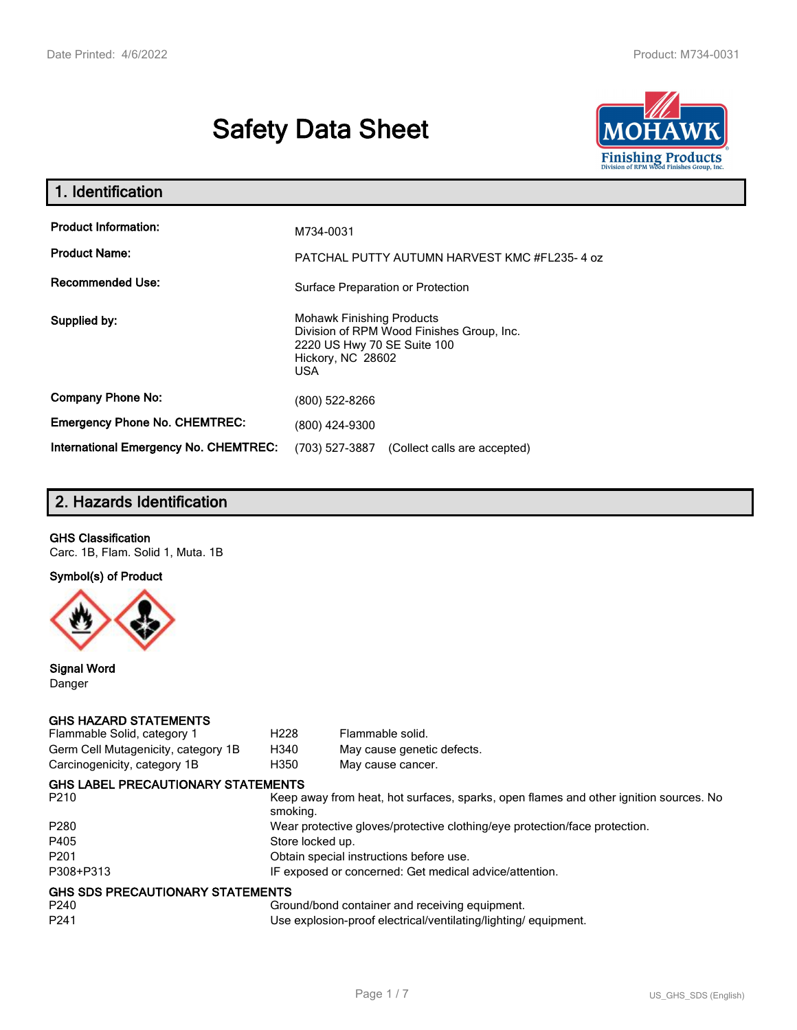# **Safety Data Sheet**



| 1. Identification                                   |                                                                                                                                                 |
|-----------------------------------------------------|-------------------------------------------------------------------------------------------------------------------------------------------------|
| <b>Product Information:</b><br><b>Product Name:</b> | M734-0031                                                                                                                                       |
| <b>Recommended Use:</b>                             | PATCHAL PUTTY AUTUMN HARVEST KMC #FL235-4 oz<br>Surface Preparation or Protection                                                               |
| Supplied by:                                        | <b>Mohawk Finishing Products</b><br>Division of RPM Wood Finishes Group, Inc.<br>2220 US Hwy 70 SE Suite 100<br>Hickory, NC 28602<br><b>USA</b> |
| <b>Company Phone No:</b>                            | (800) 522-8266                                                                                                                                  |
| <b>Emergency Phone No. CHEMTREC:</b>                | (800) 424-9300                                                                                                                                  |
| <b>International Emergency No. CHEMTREC:</b>        | (703) 527-3887<br>(Collect calls are accepted)                                                                                                  |

# **2. Hazards Identification**

## **GHS Classification**

Carc. 1B, Flam. Solid 1, Muta. 1B

**Symbol(s) of Product**



**Signal Word** Danger

#### **GHS HAZARD STATEMENTS**

| Flammable Solid, category 1               | H <sub>228</sub>                                                           | Flammable solid.                                                                      |  |
|-------------------------------------------|----------------------------------------------------------------------------|---------------------------------------------------------------------------------------|--|
| Germ Cell Mutagenicity, category 1B       | H340                                                                       | May cause genetic defects.                                                            |  |
| Carcinogenicity, category 1B              | H350                                                                       | May cause cancer.                                                                     |  |
| <b>GHS LABEL PRECAUTIONARY STATEMENTS</b> |                                                                            |                                                                                       |  |
| P210                                      | smoking.                                                                   | Keep away from heat, hot surfaces, sparks, open flames and other ignition sources. No |  |
| P280                                      | Wear protective gloves/protective clothing/eye protection/face protection. |                                                                                       |  |
| P405                                      | Store locked up.                                                           |                                                                                       |  |
| P201                                      |                                                                            | Obtain special instructions before use.                                               |  |
| P308+P313                                 |                                                                            | IF exposed or concerned: Get medical advice/attention.                                |  |
| GHS SDS PRECAUTIONARY STATEMENTS          |                                                                            |                                                                                       |  |
| P240                                      |                                                                            | Ground/bond container and receiving equipment.                                        |  |
| P241                                      |                                                                            | Use explosion-proof electrical/ventilating/lighting/equipment.                        |  |
|                                           |                                                                            |                                                                                       |  |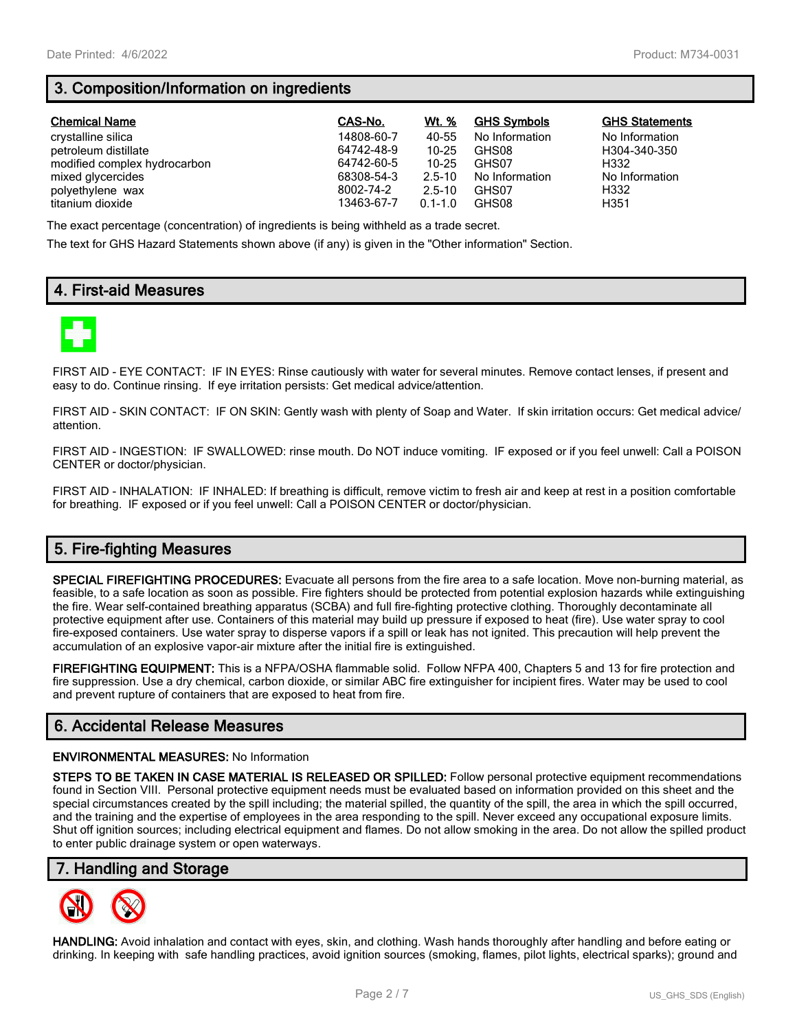# **3. Composition/Information on ingredients**

| <b>Chemical Name</b>         | CAS-No.    | Wt. %       | <b>GHS Symbols</b> | <b>GHS Statements</b> |
|------------------------------|------------|-------------|--------------------|-----------------------|
| crystalline silica           | 14808-60-7 | 40-55       | No Information     | No Information        |
| petroleum distillate         | 64742-48-9 | $10 - 25$   | GHS08              | H304-340-350          |
| modified complex hydrocarbon | 64742-60-5 | $10 - 25$   | GHS07              | H332                  |
| mixed glycercides            | 68308-54-3 | $2.5 - 10$  | No Information     | No Information        |
| polyethylene wax             | 8002-74-2  | $2.5 - 10$  | GHS07              | H332                  |
| titanium dioxide             | 13463-67-7 | $0.1 - 1.0$ | GHS08              | H351                  |

The exact percentage (concentration) of ingredients is being withheld as a trade secret.

The text for GHS Hazard Statements shown above (if any) is given in the "Other information" Section.

# **4. First-aid Measures**



FIRST AID - EYE CONTACT: IF IN EYES: Rinse cautiously with water for several minutes. Remove contact lenses, if present and easy to do. Continue rinsing. If eye irritation persists: Get medical advice/attention.

FIRST AID - SKIN CONTACT: IF ON SKIN: Gently wash with plenty of Soap and Water. If skin irritation occurs: Get medical advice/ attention.

FIRST AID - INGESTION: IF SWALLOWED: rinse mouth. Do NOT induce vomiting. IF exposed or if you feel unwell: Call a POISON CENTER or doctor/physician.

FIRST AID - INHALATION: IF INHALED: If breathing is difficult, remove victim to fresh air and keep at rest in a position comfortable for breathing. IF exposed or if you feel unwell: Call a POISON CENTER or doctor/physician.

# **5. Fire-fighting Measures**

**SPECIAL FIREFIGHTING PROCEDURES:** Evacuate all persons from the fire area to a safe location. Move non-burning material, as feasible, to a safe location as soon as possible. Fire fighters should be protected from potential explosion hazards while extinguishing the fire. Wear self-contained breathing apparatus (SCBA) and full fire-fighting protective clothing. Thoroughly decontaminate all protective equipment after use. Containers of this material may build up pressure if exposed to heat (fire). Use water spray to cool fire-exposed containers. Use water spray to disperse vapors if a spill or leak has not ignited. This precaution will help prevent the accumulation of an explosive vapor-air mixture after the initial fire is extinguished.

**FIREFIGHTING EQUIPMENT:** This is a NFPA/OSHA flammable solid. Follow NFPA 400, Chapters 5 and 13 for fire protection and fire suppression. Use a dry chemical, carbon dioxide, or similar ABC fire extinguisher for incipient fires. Water may be used to cool and prevent rupture of containers that are exposed to heat from fire.

## **6. Accidental Release Measures**

#### **ENVIRONMENTAL MEASURES:** No Information

**STEPS TO BE TAKEN IN CASE MATERIAL IS RELEASED OR SPILLED:** Follow personal protective equipment recommendations found in Section VIII. Personal protective equipment needs must be evaluated based on information provided on this sheet and the special circumstances created by the spill including; the material spilled, the quantity of the spill, the area in which the spill occurred, and the training and the expertise of employees in the area responding to the spill. Never exceed any occupational exposure limits. Shut off ignition sources; including electrical equipment and flames. Do not allow smoking in the area. Do not allow the spilled product to enter public drainage system or open waterways.

## **7. Handling and Storage**



**HANDLING:** Avoid inhalation and contact with eyes, skin, and clothing. Wash hands thoroughly after handling and before eating or drinking. In keeping with safe handling practices, avoid ignition sources (smoking, flames, pilot lights, electrical sparks); ground and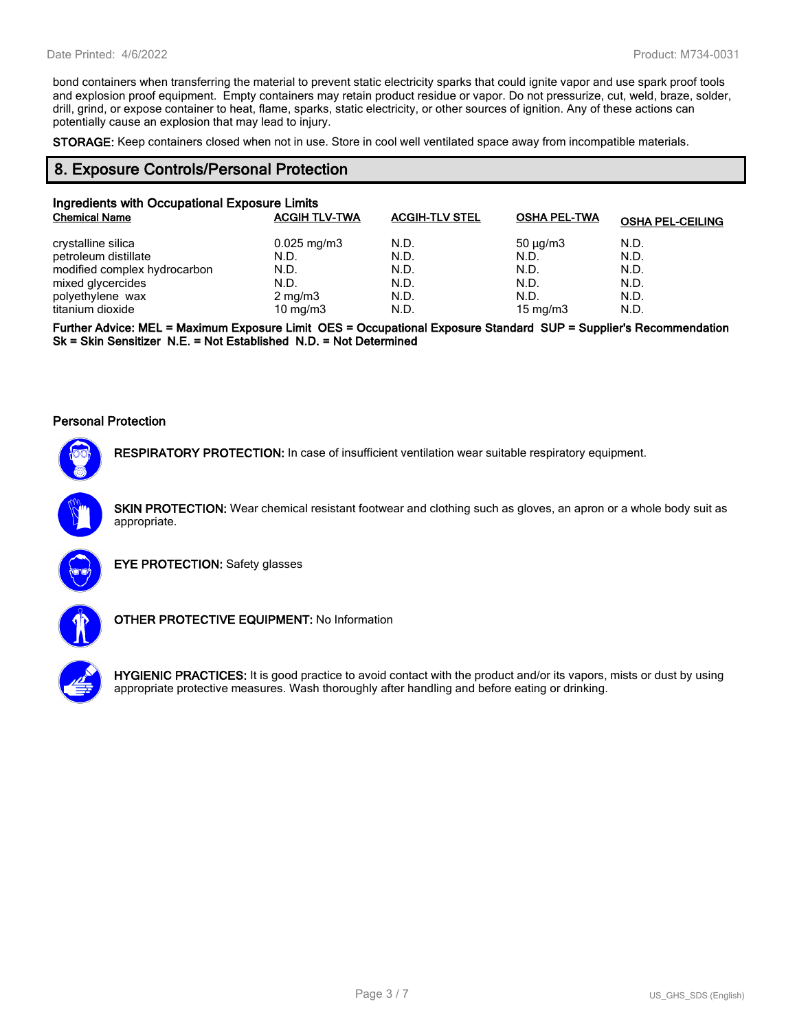bond containers when transferring the material to prevent static electricity sparks that could ignite vapor and use spark proof tools and explosion proof equipment. Empty containers may retain product residue or vapor. Do not pressurize, cut, weld, braze, solder, drill, grind, or expose container to heat, flame, sparks, static electricity, or other sources of ignition. Any of these actions can potentially cause an explosion that may lead to injury.

**STORAGE:** Keep containers closed when not in use. Store in cool well ventilated space away from incompatible materials.

## **8. Exposure Controls/Personal Protection**

| Ingredients with Occupational Exposure Limits |                         |                       |                     |                         |
|-----------------------------------------------|-------------------------|-----------------------|---------------------|-------------------------|
| <b>Chemical Name</b>                          | <b>ACGIH TLV-TWA</b>    | <b>ACGIH-TLV STEL</b> | <b>OSHA PEL-TWA</b> | <b>OSHA PEL-CEILING</b> |
| crystalline silica                            | $0.025 \,\mathrm{mg/m}$ | N.D.                  | $50 \mu q/m3$       | N.D.                    |
| petroleum distillate                          | N.D.                    | N.D.                  | N.D.                | N.D.                    |
| modified complex hydrocarbon                  | N.D.                    | N.D.                  | N.D.                | N.D.                    |
| mixed glycercides                             | N.D.                    | N.D.                  | N.D.                | N.D.                    |
| polyethylene wax                              | $2 \text{ mg/m}$ 3      | N.D.                  | N.D.                | N.D.                    |
| titanium dioxide                              | 10 mg/m $3$             | N.D.                  | 15 mg/m $3$         | N.D.                    |

**Further Advice: MEL = Maximum Exposure Limit OES = Occupational Exposure Standard SUP = Supplier's Recommendation Sk = Skin Sensitizer N.E. = Not Established N.D. = Not Determined**

#### **Personal Protection**



**RESPIRATORY PROTECTION:** In case of insufficient ventilation wear suitable respiratory equipment.

**SKIN PROTECTION:** Wear chemical resistant footwear and clothing such as gloves, an apron or a whole body suit as appropriate.



**EYE PROTECTION:** Safety glasses



**OTHER PROTECTIVE EQUIPMENT:** No Information



**HYGIENIC PRACTICES:** It is good practice to avoid contact with the product and/or its vapors, mists or dust by using appropriate protective measures. Wash thoroughly after handling and before eating or drinking.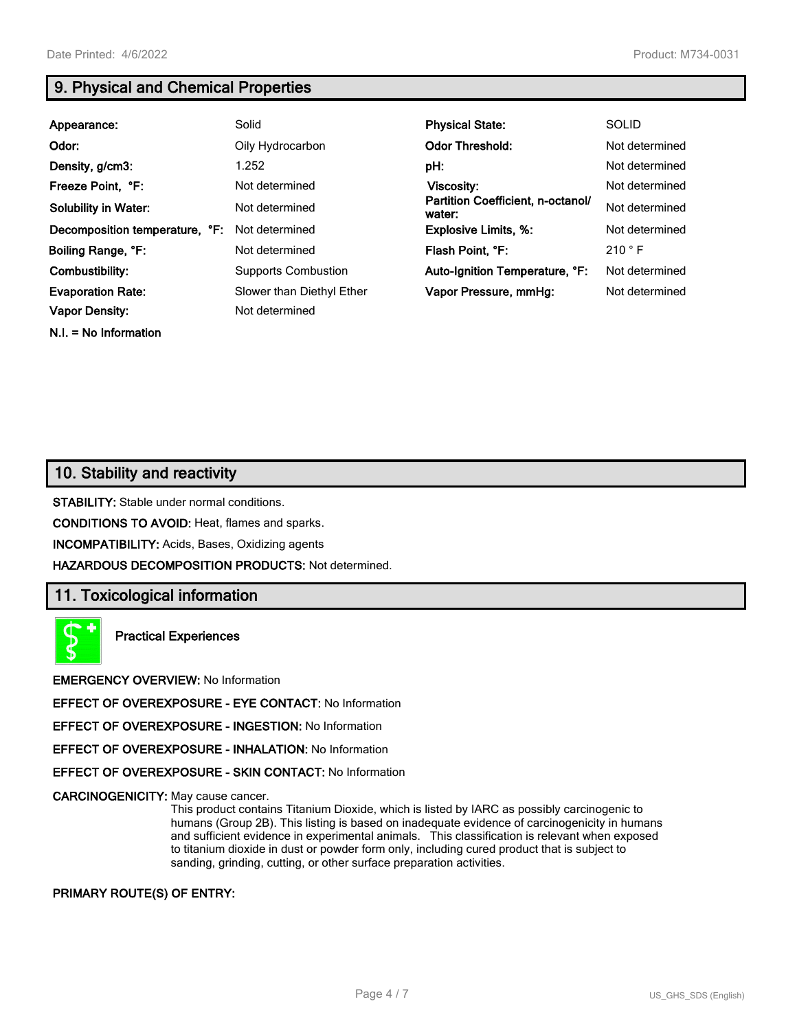**N.I. = No Information**

# **9. Physical and Chemical Properties**

| Appearance:                    | Solid                      | <b>Physical State:</b>                      | <b>SOLID</b>   |
|--------------------------------|----------------------------|---------------------------------------------|----------------|
| Odor:                          | Oily Hydrocarbon           | <b>Odor Threshold:</b>                      | Not determined |
| Density, g/cm3:                | 1.252                      | pH:                                         | Not determined |
| Freeze Point, °F:              | Not determined             | Viscosity:                                  | Not determined |
| <b>Solubility in Water:</b>    | Not determined             | Partition Coefficient, n-octanol/<br>water: | Not determined |
| Decomposition temperature, °F: | Not determined             | <b>Explosive Limits, %:</b>                 | Not determined |
| Boiling Range, °F:             | Not determined             | Flash Point, °F:                            | 210 °F         |
| Combustibility:                | <b>Supports Combustion</b> | Auto-Ignition Temperature, °F:              | Not determined |
| <b>Evaporation Rate:</b>       | Slower than Diethyl Ether  | Vapor Pressure, mmHq:                       | Not determined |
| <b>Vapor Density:</b>          | Not determined             |                                             |                |

# **10. Stability and reactivity**

**STABILITY:** Stable under normal conditions.

**CONDITIONS TO AVOID:** Heat, flames and sparks.

**INCOMPATIBILITY:** Acids, Bases, Oxidizing agents

**HAZARDOUS DECOMPOSITION PRODUCTS:** Not determined.

## **11. Toxicological information**

**Practical Experiences**

**EMERGENCY OVERVIEW:** No Information

**EFFECT OF OVEREXPOSURE - EYE CONTACT:** No Information

**EFFECT OF OVEREXPOSURE - INGESTION:** No Information

**EFFECT OF OVEREXPOSURE - INHALATION:** No Information

**EFFECT OF OVEREXPOSURE - SKIN CONTACT:** No Information

**CARCINOGENICITY:** May cause cancer.

This product contains Titanium Dioxide, which is listed by IARC as possibly carcinogenic to humans (Group 2B). This listing is based on inadequate evidence of carcinogenicity in humans and sufficient evidence in experimental animals. This classification is relevant when exposed to titanium dioxide in dust or powder form only, including cured product that is subject to sanding, grinding, cutting, or other surface preparation activities.

#### **PRIMARY ROUTE(S) OF ENTRY:**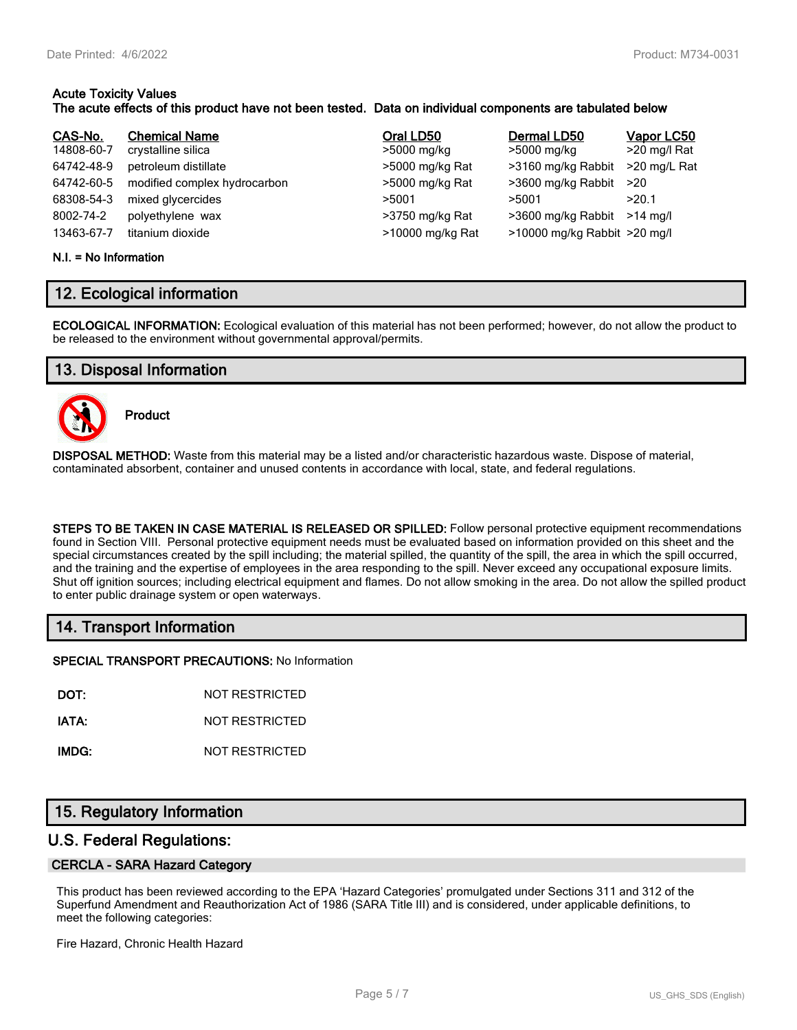#### **Acute Toxicity Values The acute effects of this product have not been tested. Data on individual components are tabulated below**

| CAS-No.    | <b>Chemical Name</b>         | Oral LD50        | Dermal LD50                  | Vapor LC50   |
|------------|------------------------------|------------------|------------------------------|--------------|
| 14808-60-7 | crystalline silica           | >5000 mg/kg      | >5000 mg/kg                  | >20 mg/l Rat |
| 64742-48-9 | petroleum distillate         | >5000 mg/kg Rat  | >3160 mg/kg Rabbit           | >20 mg/L Rat |
| 64742-60-5 | modified complex hydrocarbon | >5000 mg/kg Rat  | >3600 mg/kg Rabbit           | >20          |
| 68308-54-3 | mixed glycercides            | >5001            | >5001                        | >20.1        |
| 8002-74-2  | polyethylene wax             | >3750 mg/kg Rat  | >3600 mg/kg Rabbit           | $>14$ ma/l   |
| 13463-67-7 | titanium dioxide             | >10000 mg/kg Rat | >10000 mg/kg Rabbit >20 mg/l |              |

#### **N.I. = No Information**

## **12. Ecological information**

**ECOLOGICAL INFORMATION:** Ecological evaluation of this material has not been performed; however, do not allow the product to be released to the environment without governmental approval/permits.

## **13. Disposal Information**



**Product**

**DISPOSAL METHOD:** Waste from this material may be a listed and/or characteristic hazardous waste. Dispose of material, contaminated absorbent, container and unused contents in accordance with local, state, and federal regulations.

**STEPS TO BE TAKEN IN CASE MATERIAL IS RELEASED OR SPILLED:** Follow personal protective equipment recommendations found in Section VIII. Personal protective equipment needs must be evaluated based on information provided on this sheet and the special circumstances created by the spill including; the material spilled, the quantity of the spill, the area in which the spill occurred, and the training and the expertise of employees in the area responding to the spill. Never exceed any occupational exposure limits. Shut off ignition sources; including electrical equipment and flames. Do not allow smoking in the area. Do not allow the spilled product to enter public drainage system or open waterways.

## **14. Transport Information**

**SPECIAL TRANSPORT PRECAUTIONS:** No Information

**DOT:** NOT RESTRICTED

**IATA:** NOT RESTRICTED

**IMDG:** NOT RESTRICTED

## **15. Regulatory Information**

## **U.S. Federal Regulations:**

#### **CERCLA - SARA Hazard Category**

This product has been reviewed according to the EPA 'Hazard Categories' promulgated under Sections 311 and 312 of the Superfund Amendment and Reauthorization Act of 1986 (SARA Title III) and is considered, under applicable definitions, to meet the following categories:

Fire Hazard, Chronic Health Hazard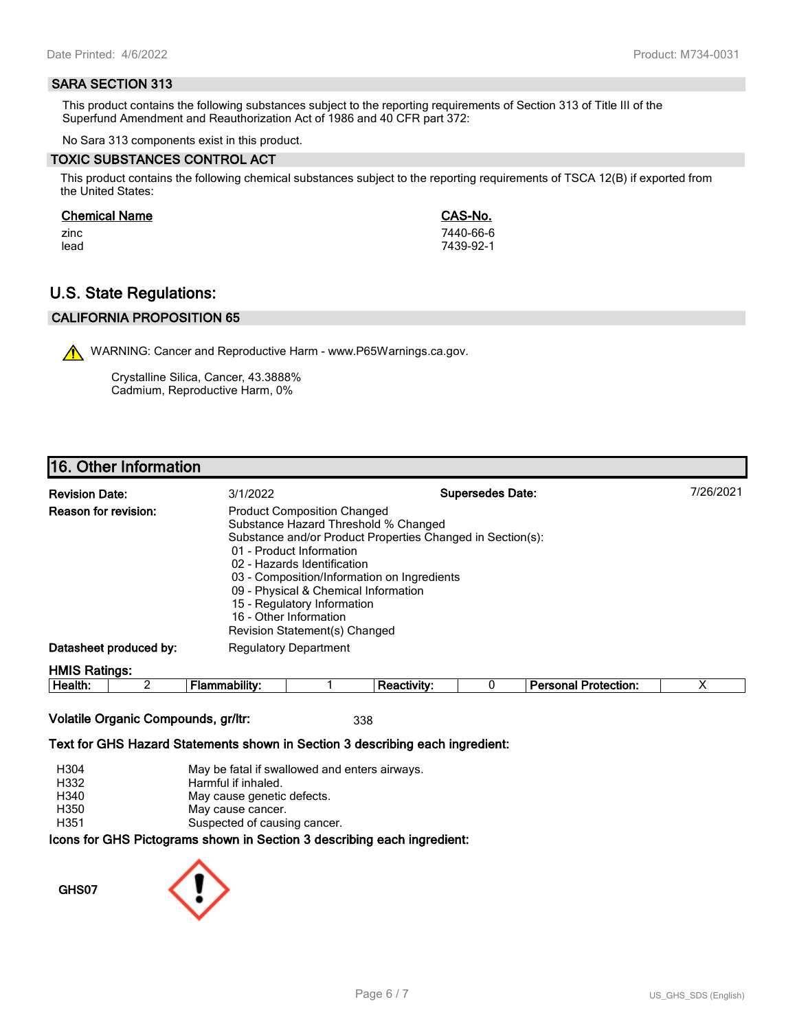#### **SARA SECTION 313**

This product contains the following substances subject to the reporting requirements of Section 313 of Title III of the Superfund Amendment and Reauthorization Act of 1986 and 40 CFR part 372:

No Sara 313 components exist in this product.

#### **TOXIC SUBSTANCES CONTROL ACT**

This product contains the following chemical substances subject to the reporting requirements of TSCA 12(B) if exported from the United States:

#### **Chemical Name CAS-No.**

zinc 7440-66-6 lead 7439-92-1

# **U.S. State Regulations:**

## **CALIFORNIA PROPOSITION 65**

WARNING: Cancer and Reproductive Harm - www.P65Warnings.ca.gov.

Crystalline Silica, Cancer, 43.3888% Cadmium, Reproductive Harm, 0%

## **16. Other Information**

| <b>Revision Date:</b>       | 3/1/2022                                                                                                                                                                                                                                                                                                               | <b>Supersedes Date:</b>                                    | 7/26/2021 |
|-----------------------------|------------------------------------------------------------------------------------------------------------------------------------------------------------------------------------------------------------------------------------------------------------------------------------------------------------------------|------------------------------------------------------------|-----------|
| <b>Reason for revision:</b> | <b>Product Composition Changed</b><br>Substance Hazard Threshold % Changed<br>01 - Product Information<br>02 - Hazards Identification<br>03 - Composition/Information on Ingredients<br>09 - Physical & Chemical Information<br>15 - Regulatory Information<br>16 - Other Information<br>Revision Statement(s) Changed | Substance and/or Product Properties Changed in Section(s): |           |
| Datasheet produced by:      | <b>Regulatory Department</b>                                                                                                                                                                                                                                                                                           |                                                            |           |
| <b>HMIS Ratings:</b>        |                                                                                                                                                                                                                                                                                                                        |                                                            |           |

| . .<br>-<br>ле<br><br><br> |  |  | - --<br>$ -$<br>.<br>лил |  |
|----------------------------|--|--|--------------------------|--|
|                            |  |  |                          |  |

## **Volatile Organic Compounds, gr/ltr:** 338

#### **Text for GHS Hazard Statements shown in Section 3 describing each ingredient:**

| H304 | May be fatal if swallowed and enters airways.                   |
|------|-----------------------------------------------------------------|
| H332 | Harmful if inhaled.                                             |
| H340 | May cause genetic defects.                                      |
| H350 | May cause cancer.                                               |
| H351 | Suspected of causing cancer.                                    |
|      | cons for CHS Dictograms shown in Section 3 describing each ingr |

**Icons for GHS Pictograms shown in Section 3 describing each ingredient:**

**GHS07**